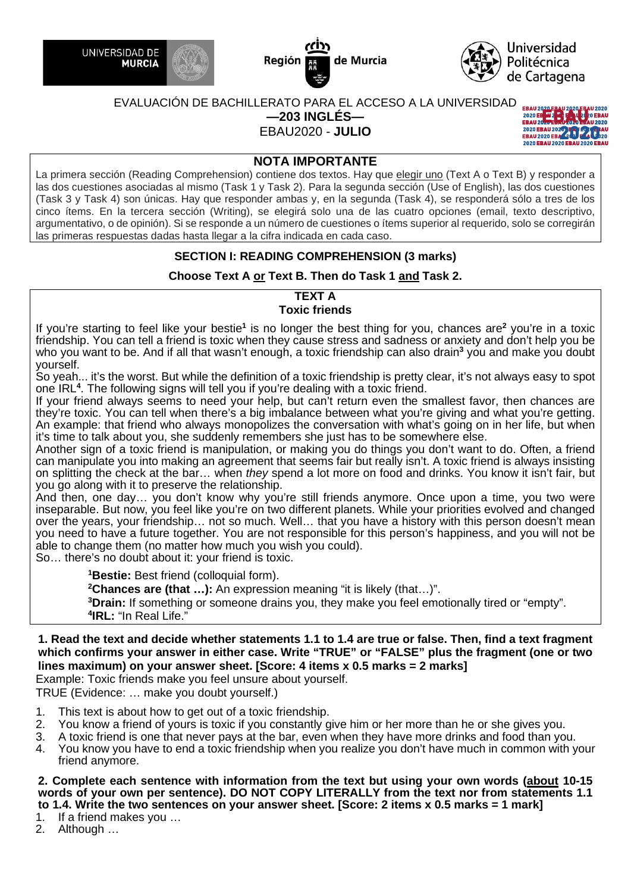





# EVALUACIÓN DE BACHILLERATO PARA EL ACCESO A LA UNIVERSIDAD

**—203 INGLÉS—**

EBAU2020 - **JULIO**



# **NOTA IMPORTANTE**

La primera sección (Reading Comprehension) contiene dos textos. Hay que elegir uno (Text A o Text B) y responder a las dos cuestiones asociadas al mismo (Task 1 y Task 2). Para la segunda sección (Use of English), las dos cuestiones (Task 3 y Task 4) son únicas. Hay que responder ambas y, en la segunda (Task 4), se responderá sólo a tres de los cinco ítems. En la tercera sección (Writing), se elegirá solo una de las cuatro opciones (email, texto descriptivo, argumentativo, o de opinión). Si se responde a un número de cuestiones o ítems superior al requerido, solo se corregirán las primeras respuestas dadas hasta llegar a la cifra indicada en cada caso.

# **SECTION I: READING COMPREHENSION (3 marks)**

# **Choose Text A or Text B. Then do Task 1 and Task 2.**

#### **TEXT A Toxic friends**

If you're starting to feel like your bestie**<sup>1</sup>** is no longer the best thing for you, chances are**<sup>2</sup>** you're in a toxic friendship. You can tell a friend is toxic when they cause stress and sadness or anxiety and don't help you be who you want to be. And if all that wasn't enough, a toxic friendship can also drain<sup>3</sup> you and make you doubt yourself.

So yeah... it's the worst. But while the definition of a toxic friendship is pretty clear, it's not always easy to spot one IRL**<sup>4</sup>** . The following signs will tell you if you're dealing with a toxic friend.

If your friend always seems to need your help, but can't return even the smallest favor, then chances are they're toxic. You can tell when there's a big imbalance between what you're giving and what you're getting. An example: that friend who always monopolizes the conversation with what's going on in her life, but when it's time to talk about you, she suddenly remembers she just has to be somewhere else.

Another sign of a toxic friend is manipulation, or making you do things you don't want to do. Often, a friend can manipulate you into making an agreement that seems fair but really isn't. A toxic friend is always insisting on splitting the check at the bar… when *they* spend a lot more on food and drinks. You know it isn't fair, but you go along with it to preserve the relationship.

And then, one day… you don't know why you're still friends anymore. Once upon a time, you two were inseparable. But now, you feel like you're on two different planets. While your priorities evolved and changed over the years, your friendship… not so much. Well… that you have a history with this person doesn't mean you need to have a future together. You are not responsible for this person's happiness, and you will not be able to change them (no matter how much you wish you could).

So… there's no doubt about it: your friend is toxic.

**<sup>1</sup>Bestie:** Best friend (colloquial form).

**<sup>2</sup>Chances are (that …):** An expression meaning "it is likely (that…)".

**<sup>3</sup>Drain:** If something or someone drains you, they make you feel emotionally tired or "empty". **4 IRL:** "In Real Life."

# **1. Read the text and decide whether statements 1.1 to 1.4 are true or false. Then, find a text fragment which confirms your answer in either case. Write "TRUE" or "FALSE" plus the fragment (one or two lines maximum) on your answer sheet. [Score: 4 items x 0.5 marks = 2 marks]**

Example: Toxic friends make you feel unsure about yourself.

TRUE (Evidence: … make you doubt yourself.)

- 1. This text is about how to get out of a toxic friendship.
- 2. You know a friend of yours is toxic if you constantly give him or her more than he or she gives you.<br>3. A toxic friend is one that never pays at the bar, even when they have more drinks and food than you
- A toxic friend is one that never pays at the bar, even when they have more drinks and food than you.
- 4. You know you have to end a toxic friendship when you realize you don't have much in common with your friend anymore.

**2. Complete each sentence with information from the text but using your own words (about 10-15 words of your own per sentence). DO NOT COPY LITERALLY from the text nor from statements 1.1 to 1.4. Write the two sentences on your answer sheet. [Score: 2 items x 0.5 marks = 1 mark]** 

1. If a friend makes you …

2. Although …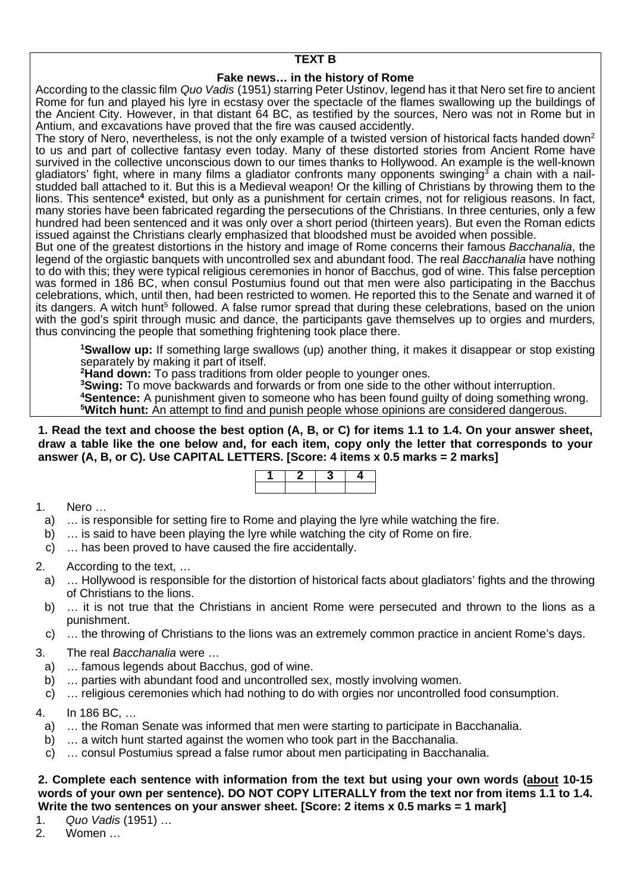# **TEXT B**

# **Fake news… in the history of Rome**

According to the classic film *Quo Vadis* (1951) starring Peter Ustinov, legend has it that Nero set fire to ancient Rome for fun and played his lyre in ecstasy over the spectacle of the flames swallowing up the buildings of the Ancient City. However, in that distant 64 BC, as testified by the sources, Nero was not in Rome but in Antium, and excavations have proved that the fire was caused accidently.

The story of Nero, nevertheless, is not the only example of a twisted version of historical facts handed down<sup>2</sup> to us and part of collective fantasy even today. Many of these distorted stories from Ancient Rome have survived in the collective unconscious down to our times thanks to Hollywood. An example is the well-known gladiators' fight, where in many films a gladiator confronts many opponents swinging<sup>3</sup> a chain with a nailstudded ball attached to it. But this is a Medieval weapon! Or the killing of Christians by throwing them to the lions. This sentence<sup>4</sup> existed, but only as a punishment for certain crimes, not for religious reasons. In fact, many stories have been fabricated regarding the persecutions of the Christians. In three centuries, only a few hundred had been sentenced and it was only over a short period (thirteen years). But even the Roman edicts issued against the Christians clearly emphasized that bloodshed must be avoided when possible.

But one of the greatest distortions in the history and image of Rome concerns their famous *Bacchanalia*, the legend of the orgiastic banquets with uncontrolled sex and abundant food. The real *Bacchanalia* have nothing to do with this; they were typical religious ceremonies in honor of Bacchus, god of wine. This false perception was formed in 186 BC, when consul Postumius found out that men were also participating in the Bacchus celebrations, which, until then, had been restricted to women. He reported this to the Senate and warned it of its dangers. A witch hunt<sup>5</sup> followed. A false rumor spread that during these celebrations, based on the union with the god's spirit through music and dance, the participants gave themselves up to orgies and murders, thus convincing the people that something frightening took place there.

**<sup>1</sup>Swallow up:** If something large swallows (up) another thing, it makes it disappear or stop existing separately by making it part of itself.

**<sup>2</sup>Hand down:** To pass traditions from older people to younger ones.

**<sup>3</sup>Swing:** To move backwards and forwards or from one side to the other without interruption.

**<sup>4</sup>Sentence:** A punishment given to someone who has been found guilty of doing something wrong. **<sup>5</sup>Witch hunt:** An attempt to find and punish people whose opinions are considered dangerous.

**1. Read the text and choose the best option (A, B, or C) for items 1.1 to 1.4. On your answer sheet, draw a table like the one below and, for each item, copy only the letter that corresponds to your answer (A, B, or C). Use CAPITAL LETTERS. [Score: 4 items x 0.5 marks = 2 marks]** 

## 1. Nero …

- a) … is responsible for setting fire to Rome and playing the lyre while watching the fire.
- b) … is said to have been playing the lyre while watching the city of Rome on fire.
- c) … has been proved to have caused the fire accidentally.

## 2. According to the text, …

- a) … Hollywood is responsible for the distortion of historical facts about gladiators' fights and the throwing of Christians to the lions.
- b) … it is not true that the Christians in ancient Rome were persecuted and thrown to the lions as a punishment.
- c) … the throwing of Christians to the lions was an extremely common practice in ancient Rome's days.

## 3. The real *Bacchanalia* were …

- a) … famous legends about Bacchus, god of wine.
- b) … parties with abundant food and uncontrolled sex, mostly involving women.
- c) … religious ceremonies which had nothing to do with orgies nor uncontrolled food consumption.

## 4. In 186 BC, …

- a) … the Roman Senate was informed that men were starting to participate in Bacchanalia.
- b) … a witch hunt started against the women who took part in the Bacchanalia.
- c) … consul Postumius spread a false rumor about men participating in Bacchanalia.

## **2. Complete each sentence with information from the text but using your own words (about 10-15 words of your own per sentence). DO NOT COPY LITERALLY from the text nor from items 1.1 to 1.4. Write the two sentences on your answer sheet. [Score: 2 items x 0.5 marks = 1 mark]**

- 1. *Quo Vadis* (1951) …
- 2. Women …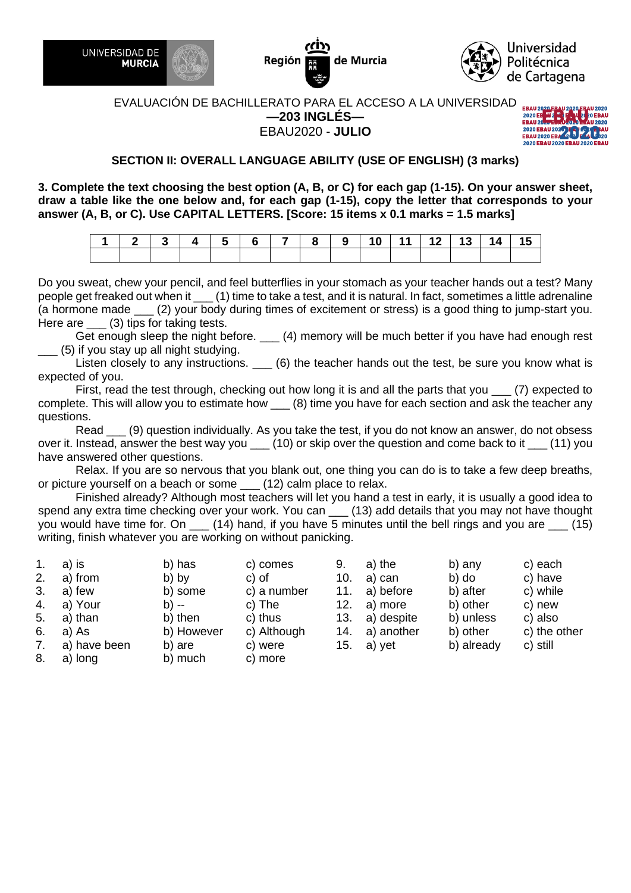

Región de Murcia



#### EVALUACIÓN DE BACHILLERATO PARA EL ACCESO A LA UNIVERSIDAD **—203 INGLÉS—** EBAU2020 - **JULIO**



# **SECTION II: OVERALL LANGUAGE ABILITY (USE OF ENGLISH) (3 marks)**

**3. Complete the text choosing the best option (A, B, or C) for each gap (1-15). On your answer sheet, draw a table like the one below and, for each gap (1-15), copy the letter that corresponds to your answer (A, B, or C). Use CAPITAL LETTERS. [Score: 15 items x 0.1 marks = 1.5 marks]** 

| │ 1 │ 2 │ 3 │ 4 │ 5 │ 6 │ 7 │ 8 │ 9 │10 │11 │12 │13 │14 │15 │ |  |  |  |  |  |  |  |
|---------------------------------------------------------------|--|--|--|--|--|--|--|
|                                                               |  |  |  |  |  |  |  |

Do you sweat, chew your pencil, and feel butterflies in your stomach as your teacher hands out a test? Many people get freaked out when it \_\_\_ (1) time to take a test, and it is natural. In fact, sometimes a little adrenaline (a hormone made \_\_\_ (2) your body during times of excitement or stress) is a good thing to jump-start you. Here are (3) tips for taking tests.

Get enough sleep the night before. \_\_\_ (4) memory will be much better if you have had enough rest \_\_\_ (5) if you stay up all night studying.

Listen closely to any instructions. \_\_\_ (6) the teacher hands out the test, be sure you know what is expected of you.

First, read the test through, checking out how long it is and all the parts that you  $\quad$  (7) expected to complete. This will allow you to estimate how (8) time you have for each section and ask the teacher any questions.

Read \_\_\_ (9) question individually. As you take the test, if you do not know an answer, do not obsess over it. Instead, answer the best way you \_\_\_ (10) or skip over the question and come back to it \_\_\_ (11) you have answered other questions.

Relax. If you are so nervous that you blank out, one thing you can do is to take a few deep breaths, or picture yourself on a beach or some (12) calm place to relax.

Finished already? Although most teachers will let you hand a test in early, it is usually a good idea to spend any extra time checking over your work. You can \_\_\_ (13) add details that you may not have thought you would have time for. On  $\_\_$  (14) hand, if you have 5 minutes until the bell rings and you are  $\_\_$  (15) writing, finish whatever you are working on without panicking.

| 1. | a) is        | b) has     | c) comes    | 9.  | a) the     | b) any     | c) each      |
|----|--------------|------------|-------------|-----|------------|------------|--------------|
| 2. | a) from      | b) by      | c) of       | 10. | a) can     | b) do      | c) have      |
| 3. | a) few       | b) some    | c) a number | 11. | a) before  | b) after   | c) while     |
| 4. | a) Your      | b) --      | c) The      | 12. | a) more    | b) other   | c) new       |
| 5. | a) than      | b) then    | c) thus     | 13. | a) despite | b) unless  | c) also      |
| 6. | a) As        | b) However | c) Although | 14. | a) another | b) other   | c) the other |
| 7. | a) have been | b) are     | c) were     | 15. | a) yet     | b) already | c) still     |
| 8. | a) long      | b) much    | c) more     |     |            |            |              |
|    |              |            |             |     |            |            |              |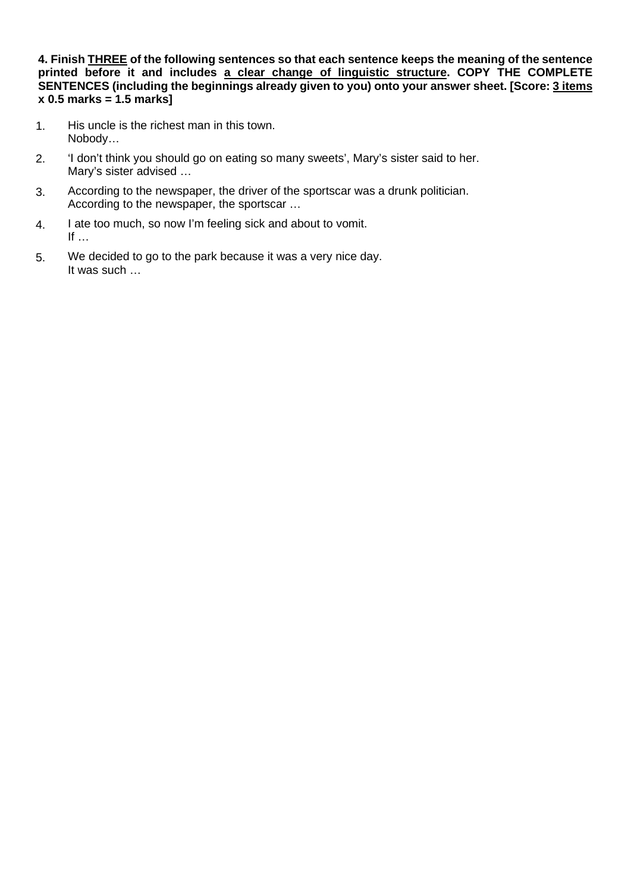**4. Finish THREE of the following sentences so that each sentence keeps the meaning of the sentence printed before it and includes a clear change of linguistic structure. COPY THE COMPLETE SENTENCES (including the beginnings already given to you) onto your answer sheet. [Score: 3 items x 0.5 marks = 1.5 marks]** 

- 1. His uncle is the richest man in this town. Nobody…
- 2. 'I don't think you should go on eating so many sweets', Mary's sister said to her. Mary's sister advised …
- 3. According to the newspaper, the driver of the sportscar was a drunk politician. According to the newspaper, the sportscar …
- 4. I ate too much, so now I'm feeling sick and about to vomit. If  $\dots$
- 5. We decided to go to the park because it was a very nice day. It was such …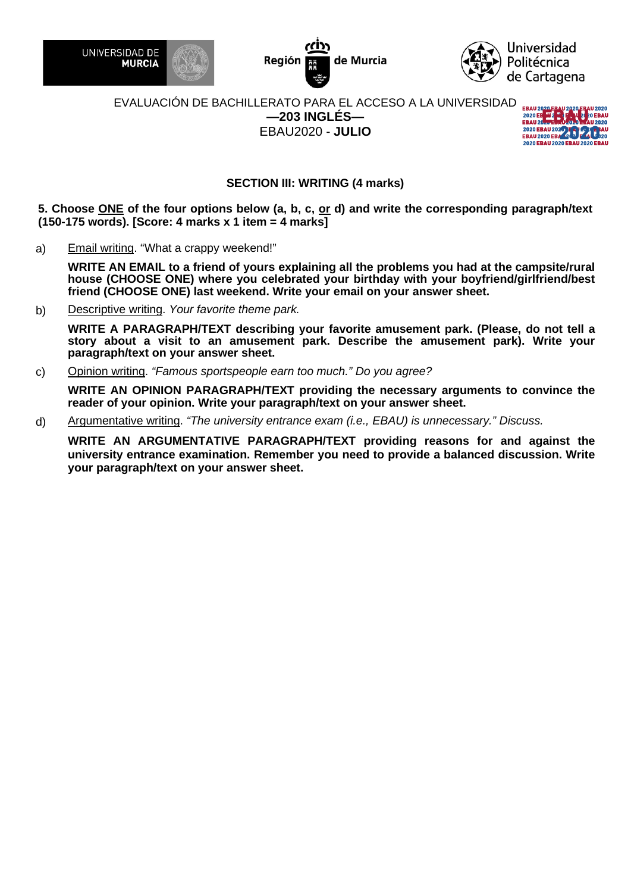

de Murcia Región



#### EVALUACIÓN DE BACHILLERATO PARA EL ACCESO A LA UNIVERSIDAD **—203 INGLÉS—** EBAU2020 - **JULIO**



# **SECTION III: WRITING (4 marks)**

**5. Choose ONE of the four options below (a, b, c, or d) and write the corresponding paragraph/text (150-175 words). [Score: 4 marks x 1 item = 4 marks]** 

a) Email writing. "What a crappy weekend!"

**WRITE AN EMAIL to a friend of yours explaining all the problems you had at the campsite/rural house (CHOOSE ONE) where you celebrated your birthday with your boyfriend/girlfriend/best friend (CHOOSE ONE) last weekend. Write your email on your answer sheet.**

b) Descriptive writing. *Your favorite theme park.*

**WRITE A PARAGRAPH/TEXT describing your favorite amusement park. (Please, do not tell a story about a visit to an amusement park. Describe the amusement park). Write your paragraph/text on your answer sheet.**

c) Opinion writing. *"Famous sportspeople earn too much." Do you agree?*

**WRITE AN OPINION PARAGRAPH/TEXT providing the necessary arguments to convince the reader of your opinion. Write your paragraph/text on your answer sheet.**

d) Argumentative writing. *"The university entrance exam (i.e., EBAU) is unnecessary." Discuss.*

**WRITE AN ARGUMENTATIVE PARAGRAPH/TEXT providing reasons for and against the university entrance examination. Remember you need to provide a balanced discussion. Write your paragraph/text on your answer sheet.**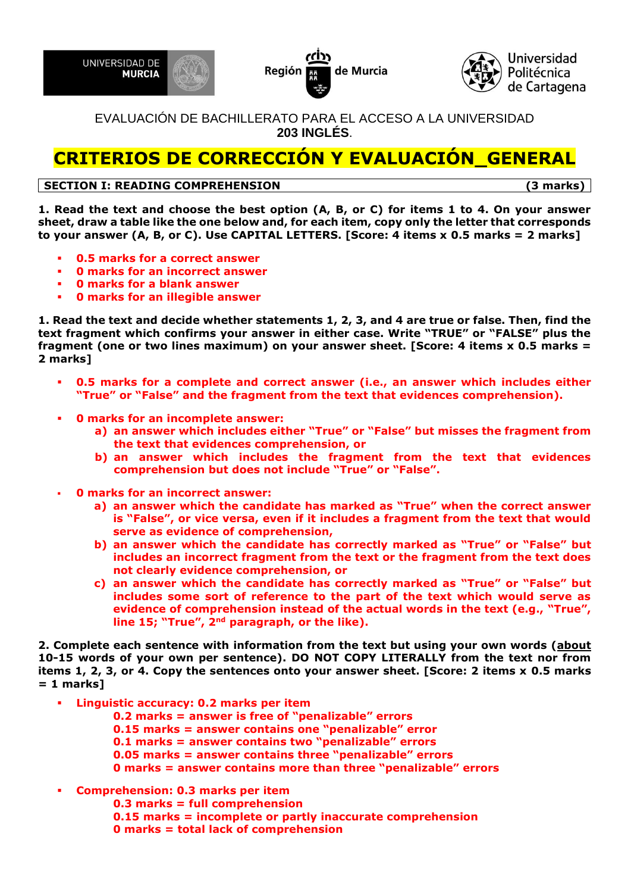





EVALUACIÓN DE BACHILLERATO PARA EL ACCESO A LA UNIVERSIDAD **203 INGLÉS**.

# **CRITERIOS DE CORRECCIÓN Y EVALUACIÓN\_GENERAL**

# **SECTION I: READING COMPREHENSION (3 marks)**

**1. Read the text and choose the best option (A, B, or C) for items 1 to 4. On your answer sheet, draw a table like the one below and, for each item, copy only the letter that corresponds to your answer (A, B, or C). Use CAPITAL LETTERS. [Score: 4 items x 0.5 marks = 2 marks]**

- **0.5 marks for a correct answer**
- **0 marks for an incorrect answer**
- **0 marks for a blank answer**
- **0 marks for an illegible answer**

**1. Read the text and decide whether statements 1, 2, 3, and 4 are true or false. Then, find the text fragment which confirms your answer in either case. Write "TRUE" or "FALSE" plus the fragment (one or two lines maximum) on your answer sheet. [Score: 4 items x 0.5 marks = 2 marks]**

- 0.5 marks for a complete and correct answer (i.e., an answer which includes either **"True" or "False" and the fragment from the text that evidences comprehension).**
- **0 marks for an incomplete answer:**
	- **a) an answer which includes either "True" or "False" but misses the fragment from the text that evidences comprehension, or**
	- **b) an answer which includes the fragment from the text that evidences comprehension but does not include "True" or "False".**
- **0 marks for an incorrect answer:**
	- **a) an answer which the candidate has marked as "True" when the correct answer is "False", or vice versa, even if it includes a fragment from the text that would serve as evidence of comprehension,**
	- **b) an answer which the candidate has correctly marked as "True" or "False" but includes an incorrect fragment from the text or the fragment from the text does not clearly evidence comprehension, or**
	- **c) an answer which the candidate has correctly marked as "True" or "False" but includes some sort of reference to the part of the text which would serve as evidence of comprehension instead of the actual words in the text (e.g., "True", line 15; "True", 2nd paragraph, or the like).**

**2. Complete each sentence with information from the text but using your own words (about 10-15 words of your own per sentence). DO NOT COPY LITERALLY from the text nor from items 1, 2, 3, or 4. Copy the sentences onto your answer sheet. [Score: 2 items x 0.5 marks = 1 marks]**

- **Linguistic accuracy: 0.2 marks per item** 
	- **0.2 marks = answer is free of "penalizable" errors**
	- **0.15 marks = answer contains one "penalizable" error**
	- **0.1 marks = answer contains two "penalizable" errors**
	- **0.05 marks = answer contains three "penalizable" errors**
	- **0 marks = answer contains more than three "penalizable" errors**
- **Comprehension: 0.3 marks per item**
	- **0.3 marks = full comprehension**
		- **0.15 marks = incomplete or partly inaccurate comprehension**
		- **0 marks = total lack of comprehension**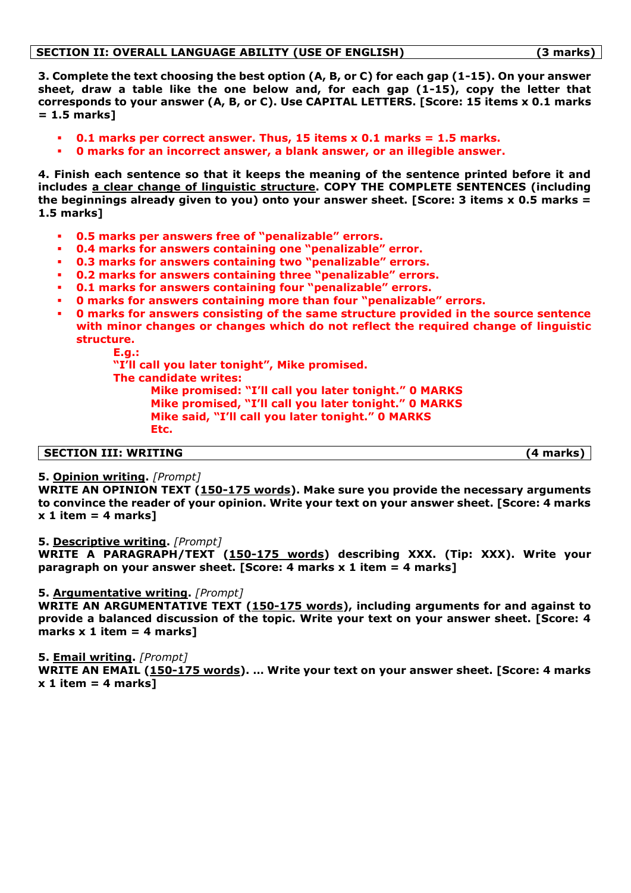**3. Complete the text choosing the best option (A, B, or C) for each gap (1-15). On your answer sheet, draw a table like the one below and, for each gap (1-15), copy the letter that corresponds to your answer (A, B, or C). Use CAPITAL LETTERS. [Score: 15 items x 0.1 marks = 1.5 marks]**

- **0.1 marks per correct answer. Thus, 15 items x 0.1 marks = 1.5 marks.**
- **0 marks for an incorrect answer, a blank answer, or an illegible answer.**

**4. Finish each sentence so that it keeps the meaning of the sentence printed before it and includes a clear change of linguistic structure. COPY THE COMPLETE SENTENCES (including the beginnings already given to you) onto your answer sheet. [Score: 3 items x 0.5 marks = 1.5 marks]**

- **0.5 marks per answers free of "penalizable" errors.**
- **0.4 marks for answers containing one "penalizable" error.**
- **0.3 marks for answers containing two "penalizable" errors.**
- **0.2 marks for answers containing three "penalizable" errors.**
- **0.1 marks for answers containing four "penalizable" errors.**
- **0 marks for answers containing more than four "penalizable" errors.**
- **0 marks for answers consisting of the same structure provided in the source sentence with minor changes or changes which do not reflect the required change of linguistic structure.**
	- **E.g.:**

**"I'll call you later tonight", Mike promised.**

**The candidate writes:** 

**Mike promised: "I'll call you later tonight." 0 MARKS Mike promised, "I'll call you later tonight." 0 MARKS Mike said, "I'll call you later tonight." 0 MARKS Etc.** 

#### **SECTION III: WRITING (4 marks)**

#### **5. Opinion writing.** *[Prompt]*

**WRITE AN OPINION TEXT (150-175 words). Make sure you provide the necessary arguments to convince the reader of your opinion. Write your text on your answer sheet. [Score: 4 marks x 1 item = 4 marks]**

#### **5. Descriptive writing.** *[Prompt]*

**WRITE A PARAGRAPH/TEXT (150-175 words) describing XXX. (Tip: XXX). Write your paragraph on your answer sheet. [Score: 4 marks x 1 item = 4 marks]**

#### **5. Argumentative writing.** *[Prompt]*

**WRITE AN ARGUMENTATIVE TEXT (150-175 words), including arguments for and against to provide a balanced discussion of the topic. Write your text on your answer sheet. [Score: 4 marks x 1 item = 4 marks]**

#### **5. Email writing.** *[Prompt]*

**WRITE AN EMAIL (150-175 words). … Write your text on your answer sheet. [Score: 4 marks x 1 item = 4 marks]**